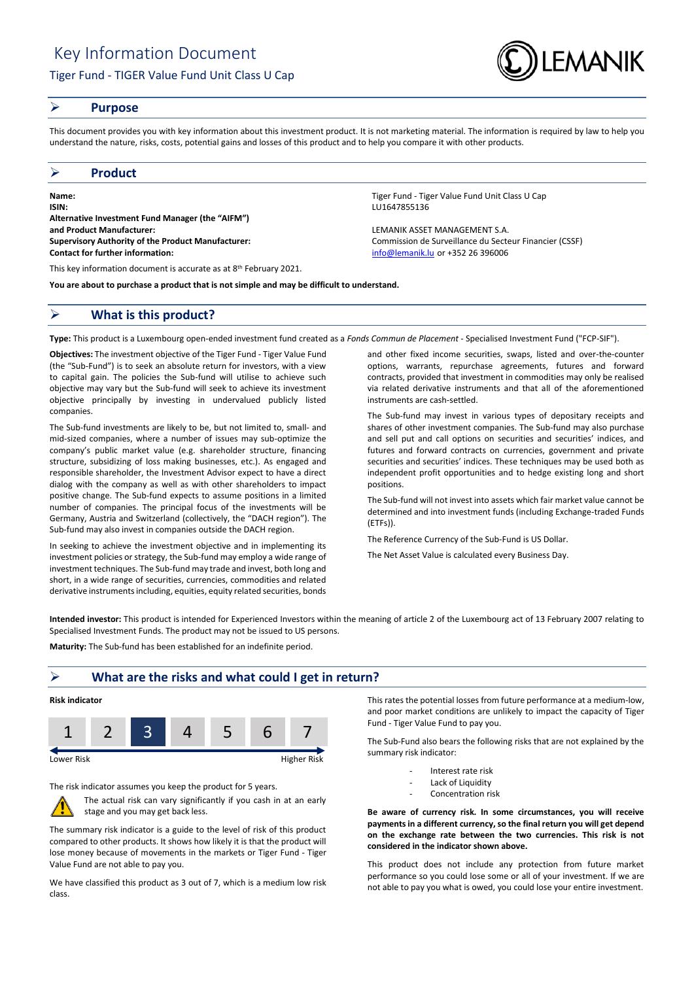

### **Purpose**

This document provides you with key information about this investment product. It is not marketing material. The information is required by law to help you understand the nature, risks, costs, potential gains and losses of this product and to help you compare it with other products.

#### **Product**

**Name:** Tiger Fund - Tiger Fund - Tiger Value Fund Unit Class U Cap **ISIN:** LU1647855136 **Alternative Investment Fund Manager (the "AIFM") and Product Manufacturer:** LEMANIK ASSET MANAGEMENT S.A. **Supervisory Authority of the Product Manufacturer:** Commission de Surveillance du Secteur Financier (CSSF) **Contact for further information:** [info@lemanik.lu](mailto:info@lemanik.lu) or +352 26 396006

This key information document is accurate as at 8<sup>th</sup> February 2021.

**You are about to purchase a product that is not simple and may be difficult to understand.**

## **What is this product?**

**Type:** This product is a Luxembourg open-ended investment fund created as a *Fonds Commun de Placement* - Specialised Investment Fund ("FCP-SIF").

**Objectives:** The investment objective of the Tiger Fund - Tiger Value Fund (the "Sub-Fund") is to seek an absolute return for investors, with a view to capital gain. The policies the Sub-fund will utilise to achieve such objective may vary but the Sub-fund will seek to achieve its investment objective principally by investing in undervalued publicly listed companies.

The Sub-fund investments are likely to be, but not limited to, small- and mid-sized companies, where a number of issues may sub-optimize the company's public market value (e.g. shareholder structure, financing structure, subsidizing of loss making businesses, etc.). As engaged and responsible shareholder, the Investment Advisor expect to have a direct dialog with the company as well as with other shareholders to impact positive change. The Sub-fund expects to assume positions in a limited number of companies. The principal focus of the investments will be Germany, Austria and Switzerland (collectively, the "DACH region"). The Sub-fund may also invest in companies outside the DACH region.

In seeking to achieve the investment objective and in implementing its investment policies or strategy, the Sub-fund may employ a wide range of investment techniques. The Sub-fund may trade and invest, both long and short, in a wide range of securities, currencies, commodities and related derivative instruments including, equities, equity related securities, bonds

and other fixed income securities, swaps, listed and over-the-counter options, warrants, repurchase agreements, futures and forward contracts, provided that investment in commodities may only be realised

via related derivative instruments and that all of the aforementioned

The Sub-fund may invest in various types of depositary receipts and shares of other investment companies. The Sub-fund may also purchase and sell put and call options on securities and securities' indices, and futures and forward contracts on currencies, government and private securities and securities' indices. These techniques may be used both as independent profit opportunities and to hedge existing long and short positions.

The Sub-fund will not invest into assets which fair market value cannot be determined and into investment funds (including Exchange-traded Funds (ETFs)).

The Reference Currency of the Sub-Fund is US Dollar.

instruments are cash-settled.

The Net Asset Value is calculated every Business Day.

**Intended investor:** This product is intended for Experienced Investors within the meaning of article 2 of the Luxembourg act of 13 February 2007 relating to Specialised Investment Funds. The product may not be issued to US persons.

**Maturity:** The Sub-fund has been established for an indefinite period.

## **What are the risks and what could I get in return?**



The risk indicator assumes you keep the product for 5 years.



The actual risk can vary significantly if you cash in at an early stage and you may get back less.

The summary risk indicator is a guide to the level of risk of this product compared to other products. It shows how likely it is that the product will lose money because of movements in the markets or Tiger Fund - Tiger Value Fund are not able to pay you.

We have classified this product as 3 out of 7, which is a medium low risk class.

This rates the potential losses from future performance at a medium-low, and poor market conditions are unlikely to impact the capacity of Tiger Fund - Tiger Value Fund to pay you.

The Sub-Fund also bears the following risks that are not explained by the summary risk indicator:

- Interest rate risk
- Lack of Liquidity
- Concentration risk

**Be aware of currency risk. In some circumstances, you will receive payments in a different currency, so the final return you will get depend on the exchange rate between the two currencies. This risk is not considered in the indicator shown above.**

This product does not include any protection from future market performance so you could lose some or all of your investment. If we are not able to pay you what is owed, you could lose your entire investment.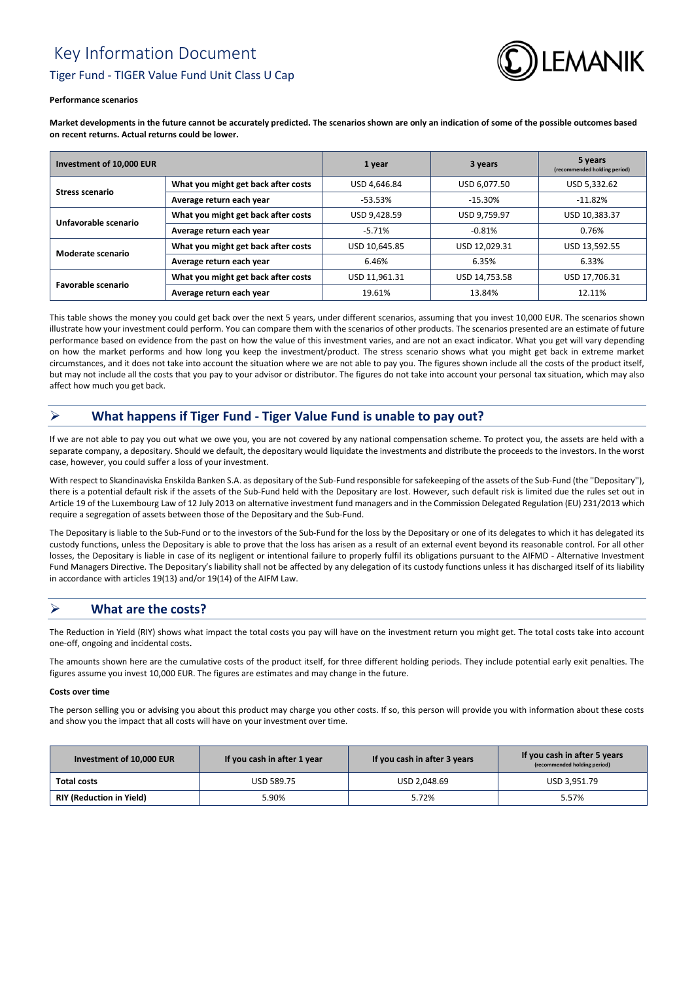# Key Information Document Tiger Fund - TIGER Value Fund Unit Class U Cap



#### **Performance scenarios**

**Market developments in the future cannot be accurately predicted. The scenarios shown are only an indication of some of the possible outcomes based on recent returns. Actual returns could be lower.**

| Investment of 10,000 EUR |                                     | 1 year        | 3 years       | 5 years<br>(recommended holding period) |
|--------------------------|-------------------------------------|---------------|---------------|-----------------------------------------|
| <b>Stress scenario</b>   | What you might get back after costs | USD 4.646.84  | USD 6,077.50  | USD 5,332.62                            |
|                          | Average return each year            | $-53.53%$     | $-15.30%$     | $-11.82%$                               |
| Unfavorable scenario     | What you might get back after costs | USD 9.428.59  | USD 9.759.97  | USD 10.383.37                           |
|                          | Average return each year            | $-5.71%$      | $-0.81%$      | 0.76%                                   |
| Moderate scenario        | What you might get back after costs | USD 10.645.85 | USD 12.029.31 | USD 13,592.55                           |
|                          | Average return each year            | 6.46%         | 6.35%         | 6.33%                                   |
| Favorable scenario       | What you might get back after costs | USD 11.961.31 | USD 14.753.58 | USD 17.706.31                           |
|                          | Average return each year            | 19.61%        | 13.84%        | 12.11%                                  |

This table shows the money you could get back over the next 5 years, under different scenarios, assuming that you invest 10,000 EUR. The scenarios shown illustrate how your investment could perform. You can compare them with the scenarios of other products. The scenarios presented are an estimate of future performance based on evidence from the past on how the value of this investment varies, and are not an exact indicator. What you get will vary depending on how the market performs and how long you keep the investment/product. The stress scenario shows what you might get back in extreme market circumstances, and it does not take into account the situation where we are not able to pay you. The figures shown include all the costs of the product itself, but may not include all the costs that you pay to your advisor or distributor. The figures do not take into account your personal tax situation, which may also affect how much you get back.

# **What happens if Tiger Fund - Tiger Value Fund is unable to pay out?**

If we are not able to pay you out what we owe you, you are not covered by any national compensation scheme. To protect you, the assets are held with a separate company, a depositary. Should we default, the depositary would liquidate the investments and distribute the proceeds to the investors. In the worst case, however, you could suffer a loss of your investment.

With respect to Skandinaviska Enskilda Banken S.A. as depositary of the Sub-Fund responsible for safekeeping of the assets of the Sub-Fund (the ''Depositary''), there is a potential default risk if the assets of the Sub-Fund held with the Depositary are lost. However, such default risk is limited due the rules set out in Article 19 of the Luxembourg Law of 12 July 2013 on alternative investment fund managers and in the Commission Delegated Regulation (EU) 231/2013 which require a segregation of assets between those of the Depositary and the Sub-Fund.

The Depositary is liable to the Sub-Fund or to the investors of the Sub-Fund for the loss by the Depositary or one of its delegates to which it has delegated its custody functions, unless the Depositary is able to prove that the loss has arisen as a result of an external event beyond its reasonable control. For all other losses, the Depositary is liable in case of its negligent or intentional failure to properly fulfil its obligations pursuant to the AIFMD - Alternative Investment Fund Managers Directive. The Depositary's liability shall not be affected by any delegation of its custody functions unless it has discharged itself of its liability in accordance with articles 19(13) and/or 19(14) of the AIFM Law.

## **What are the costs?**

The Reduction in Yield (RIY) shows what impact the total costs you pay will have on the investment return you might get. The total costs take into account one-off, ongoing and incidental costs**.**

The amounts shown here are the cumulative costs of the product itself, for three different holding periods. They include potential early exit penalties. The figures assume you invest 10,000 EUR. The figures are estimates and may change in the future.

#### **Costs over time**

The person selling you or advising you about this product may charge you other costs. If so, this person will provide you with information about these costs and show you the impact that all costs will have on your investment over time.

| Investment of 10,000 EUR        | If you cash in after 1 year | If you cash in after 3 years | If you cash in after 5 years<br>(recommended holding period) |
|---------------------------------|-----------------------------|------------------------------|--------------------------------------------------------------|
| <b>Total costs</b>              | USD 589.75                  | USD 2.048.69                 | USD 3,951.79                                                 |
| <b>RIY (Reduction in Yield)</b> | 5.90%                       | 5.72%                        | 5.57%                                                        |